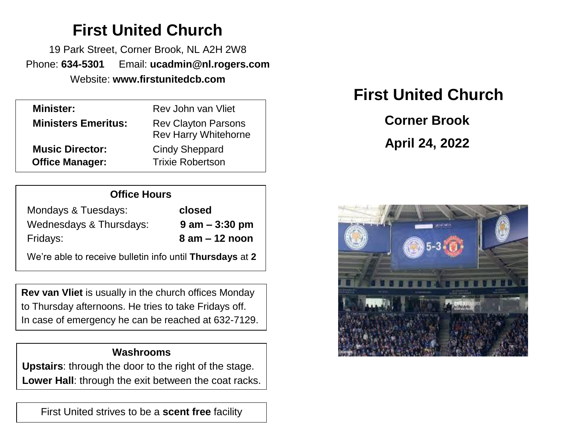# **First United Church**

19 Park Street, Corner Brook, NL A2H 2W8 Phone: **634-5301** Email: **ucadmin@nl.rogers.com** Website: **www.firstunitedcb.com**

| <b>Minister:</b>           | Rev John van Vliet                                        |
|----------------------------|-----------------------------------------------------------|
| <b>Ministers Emeritus:</b> | <b>Rev Clayton Parsons</b><br><b>Rev Harry Whitehorne</b> |
| <b>Music Director:</b>     | <b>Cindy Sheppard</b>                                     |
| <b>Office Manager:</b>     | <b>Trixie Robertson</b>                                   |
|                            |                                                           |

| <b>Office Hours</b>     |                    |
|-------------------------|--------------------|
| Mondays & Tuesdays:     | closed             |
| Wednesdays & Thursdays: | $9$ am $-$ 3:30 pm |
| Fridays:                | $8$ am $-12$ noon  |

We're able to receive bulletin info until **Thursdays** at **2**

**Rev van Vliet** is usually in the church offices Monday to Thursday afternoons. He tries to take Fridays off. In case of emergency he can be reached at 632-7129.

### **Washrooms**

**Upstairs**: through the door to the right of the stage. **Lower Hall**: through the exit between the coat racks.

First United strives to be a **scent free** facility

## **First United Church**

 **Corner Brook April 24, 2022**

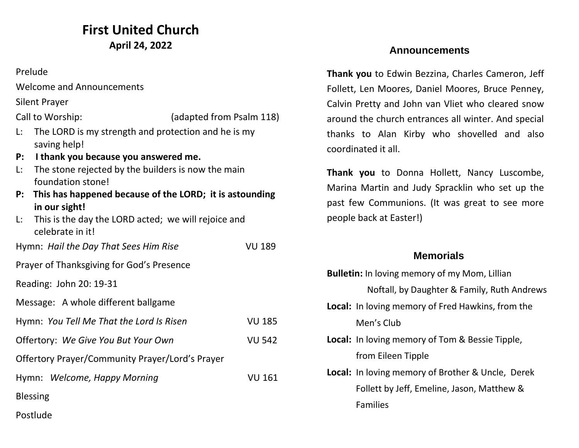### **First United Church April 24, 2022**

Prelude

Welcome and Announcements

Silent Prayer

Call to Worship: (adapted from Psalm 118)

- L: The LORD is my strength and protection and he is my saving help!
- **P: I thank you because you answered me.**
- L: The stone rejected by the builders is now the main foundation stone!
- **P: This has happened because of the LORD; it is astounding in our sight!**
- L: This is the day the LORD acted; we will rejoice and celebrate in it!

Hymn: *Hail the Day That Sees Him Rise* VU 189

Prayer of Thanksgiving for God's Presence

Reading: John 20: 19-31

- Message: A whole different ballgame
- Hymn: *You Tell Me That the Lord Is Risen* VU 185
- Offertory: We Give You But Your Own **VU 542**
- Offertory Prayer/Community Prayer/Lord's Prayer

Hymn: *Welcome, Happy Morning* VU 161

Blessing

Postlude

#### **Announcements**

**Thank you** to Edwin Bezzina, Charles Cameron, Jeff Follett, Len Moores, Daniel Moores, Bruce Penney, Calvin Pretty and John van Vliet who cleared snow around the church entrances all winter. And special thanks to Alan Kirby who shovelled and also coordinated it all.

**Thank you** to Donna Hollett, Nancy Luscombe, Marina Martin and Judy Spracklin who set up the past few Communions. (It was great to see more people back at Easter!)

#### **Memorials**

| <b>Bulletin:</b> In loving memory of my Mom, Lillian     |
|----------------------------------------------------------|
| Noftall, by Daughter & Family, Ruth Andrews              |
| <b>Local:</b> In loving memory of Fred Hawkins, from the |
| Men's Club                                               |
| <b>Local:</b> In loving memory of Tom & Bessie Tipple,   |
| from Eileen Tipple                                       |
| Local: In loving memory of Brother & Uncle, Derek        |
| Follett by Jeff, Emeline, Jason, Matthew &               |
| <b>Families</b>                                          |
|                                                          |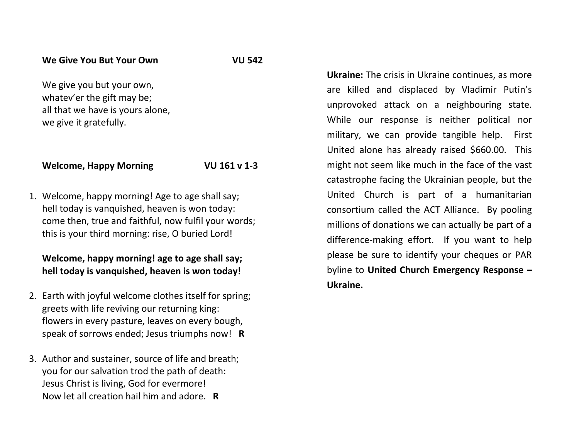We give you but your own, whatev'er the gift may be; all that we have is yours alone, we give it gratefully.

#### **Welcome, Happy Morning VU 161 v 1-3**

1. Welcome, happy morning! Age to age shall say; hell today is vanquished, heaven is won today: come then, true and faithful, now fulfil your words; this is your third morning: rise, O buried Lord!

#### **Welcome, happy morning! age to age shall say; hell today is vanquished, heaven is won today!**

- 2. Earth with joyful welcome clothes itself for spring; greets with life reviving our returning king: flowers in every pasture, leaves on every bough, speak of sorrows ended; Jesus triumphs now! **R**
- 3. Author and sustainer, source of life and breath; you for our salvation trod the path of death: Jesus Christ is living, God for evermore! Now let all creation hail him and adore. **R**

**Ukraine:** The crisis in Ukraine continues, as more are killed and displaced by Vladimir Putin's unprovoked attack on a neighbouring state. While our response is neither political nor military, we can provide tangible help. First United alone has already raised \$660.00. This might not seem like much in the face of the vast catastrophe facing the Ukrainian people, but the United Church is part of a humanitarian consortium called the ACT Alliance. By pooling millions of donations we can actually be part of a difference-making effort. If you want to help please be sure to identify your cheques or PAR byline to **United Church Emergency Response – Ukraine.**